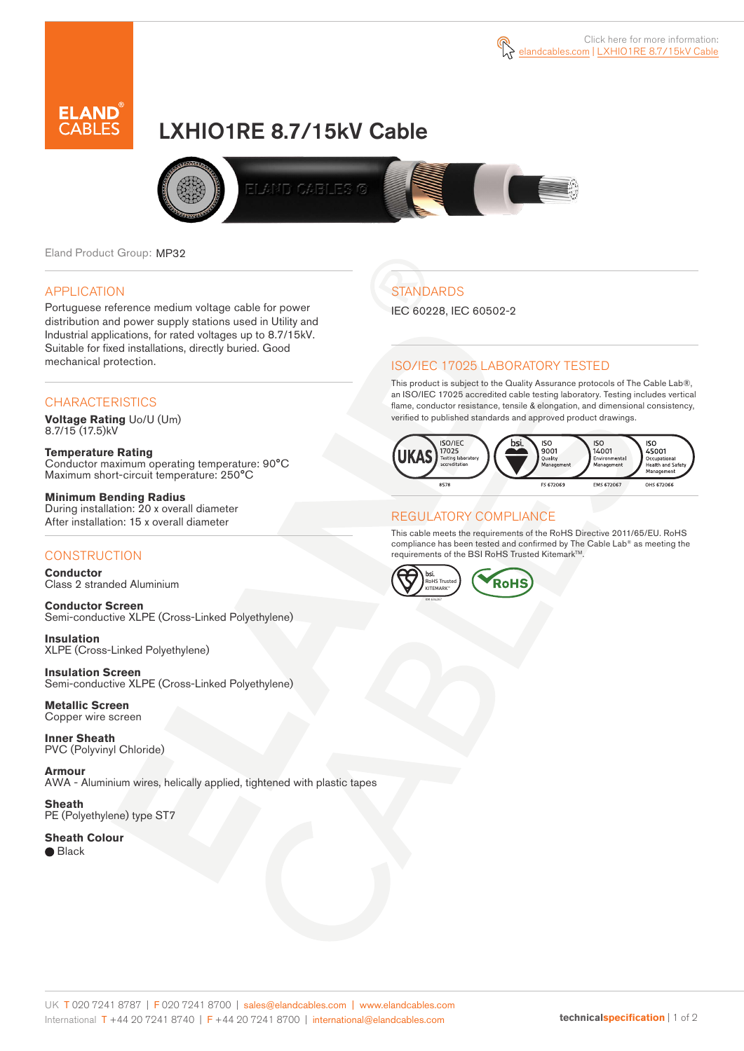



# LXHIO1RE 8.7/15kV Cable



Eland Product Group: MP32

#### APPLICATION

Portuguese reference medium voltage cable for power distribution and power supply stations used in Utility and Industrial applications, for rated voltages up to 8.7/15kV. Suitable for fixed installations, directly buried. Good mechanical protection.

### **CHARACTERISTICS**

**Voltage Rating** Uo/U (Um) 8.7/15 (17.5)kV

**Temperature Rating** Conductor maximum operating temperature: 90°C Maximum short-circuit temperature: 250°C

**Minimum Bending Radius** During installation: 20 x overall diameter After installation: 15 x overall diameter

#### **CONSTRUCTION**

**Conductor**  Class 2 stranded Aluminium

**Conductor Screen** Semi-conductive XLPE (Cross-Linked Polyethylene)

**Insulation** XLPE (Cross-Linked Polyethylene)

**Insulation Screen** Semi-conductive XLPE (Cross-Linked Polyethylene)

**Metallic Screen**  Copper wire screen

**Inner Sheath** PVC (Polyvinyl Chloride)

**Armour** AWA - Aluminium wires, helically applied, tightened with plastic tapes

**Sheath** PE (Polyethylene) type ST7

**Sheath Colour**  ● Black

**STANDARDS** 

IEC 60228, IEC 60502-2

#### ISO/IEC 17025 LABORATORY TESTED

This product is subject to the Quality Assurance protocols of The Cable Lab®, an ISO/IEC 17025 accredited cable testing laboratory. Testing includes vertical flame, conductor resistance, tensile & elongation, and dimensional consistency, verified to published standards and approved product drawings.



#### REGULATORY COMPLIANCE

This cable meets the requirements of the RoHS Directive 2011/65/EU. RoHS compliance has been tested and confirmed by The Cable Lab® as meeting the requirements of the BSI RoHS Trusted Kitemark™.